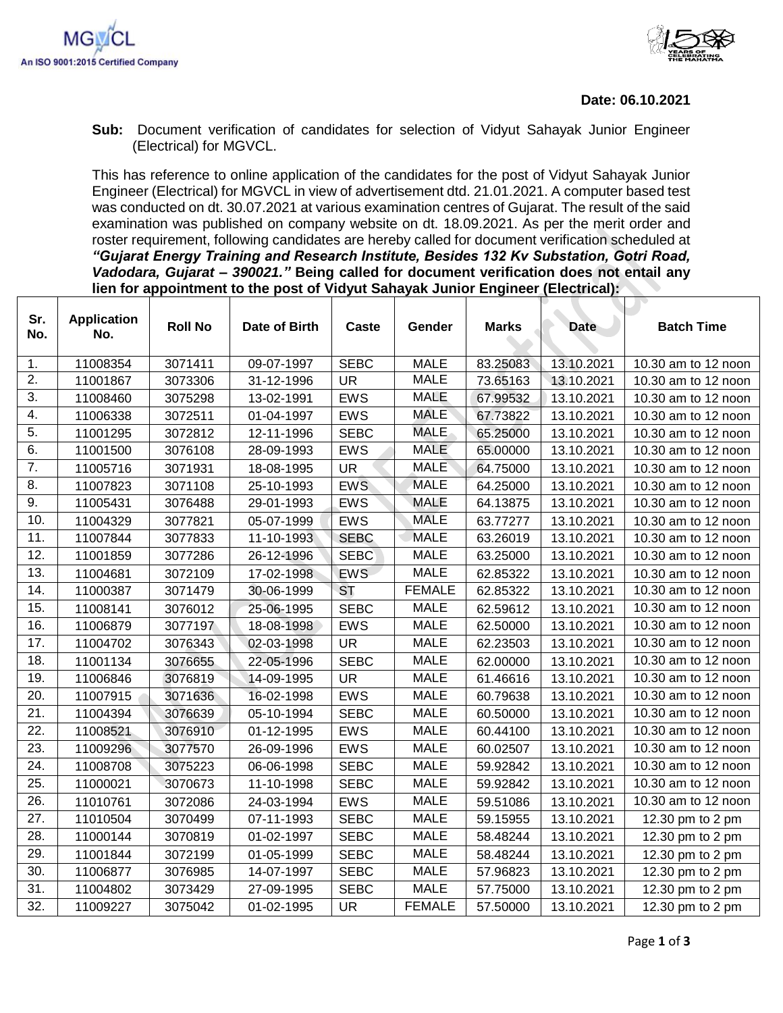

**Sub:** Document verification of candidates for selection of Vidyut Sahayak Junior Engineer (Electrical) for MGVCL.

This has reference to online application of the candidates for the post of Vidyut Sahayak Junior Engineer (Electrical) for MGVCL in view of advertisement dtd. 21.01.2021. A computer based test was conducted on dt. 30.07.2021 at various examination centres of Gujarat. The result of the said examination was published on company website on dt. 18.09.2021. As per the merit order and roster requirement, following candidates are hereby called for document verification scheduled at *"Gujarat Energy Training and Research Institute, Besides 132 Kv Substation, Gotri Road, Vadodara, Gujarat – 390021."* **Being called for document verification does not entail any lien for appointment to the post of Vidyut Sahayak Junior Engineer (Electrical):**

| Sr.               | <b>Application</b> | <b>Roll No</b> | Date of Birth | <b>Caste</b> | Gender        | <b>Marks</b> | <b>Date</b> | <b>Batch Time</b>   |
|-------------------|--------------------|----------------|---------------|--------------|---------------|--------------|-------------|---------------------|
| No.               | No.                |                |               |              |               |              |             |                     |
| 1.                | 11008354           | 3071411        | 09-07-1997    | <b>SEBC</b>  | <b>MALE</b>   | 83.25083     | 13.10.2021  | 10.30 am to 12 noon |
| $\overline{2}$ .  | 11001867           | 3073306        | 31-12-1996    | <b>UR</b>    | <b>MALE</b>   | 73.65163     | 13.10.2021  | 10.30 am to 12 noon |
| $\overline{3}$ .  | 11008460           | 3075298        | 13-02-1991    | <b>EWS</b>   | <b>MALE</b>   | 67.99532     | 13.10.2021  | 10.30 am to 12 noon |
| 4.                | 11006338           | 3072511        | 01-04-1997    | <b>EWS</b>   | <b>MALE</b>   | 67.73822     | 13.10.2021  | 10.30 am to 12 noon |
| 5.                | 11001295           | 3072812        | 12-11-1996    | <b>SEBC</b>  | <b>MALE</b>   | 65.25000     | 13.10.2021  | 10.30 am to 12 noon |
| 6.                | 11001500           | 3076108        | 28-09-1993    | <b>EWS</b>   | <b>MALE</b>   | 65.00000     | 13.10.2021  | 10.30 am to 12 noon |
| 7.                | 11005716           | 3071931        | 18-08-1995    | <b>UR</b>    | <b>MALE</b>   | 64.75000     | 13.10.2021  | 10.30 am to 12 noon |
| 8.                | 11007823           | 3071108        | 25-10-1993    | <b>EWS</b>   | <b>MALE</b>   | 64.25000     | 13.10.2021  | 10.30 am to 12 noon |
| 9.                | 11005431           | 3076488        | 29-01-1993    | EWS          | <b>MALE</b>   | 64.13875     | 13.10.2021  | 10.30 am to 12 noon |
| 10.               | 11004329           | 3077821        | 05-07-1999    | <b>EWS</b>   | <b>MALE</b>   | 63.77277     | 13.10.2021  | 10.30 am to 12 noon |
| 11.               | 11007844           | 3077833        | 11-10-1993    | <b>SEBC</b>  | <b>MALE</b>   | 63.26019     | 13.10.2021  | 10.30 am to 12 noon |
| 12.               | 11001859           | 3077286        | 26-12-1996    | <b>SEBC</b>  | <b>MALE</b>   | 63.25000     | 13.10.2021  | 10.30 am to 12 noon |
| 13.               | 11004681           | 3072109        | 17-02-1998    | <b>EWS</b>   | <b>MALE</b>   | 62.85322     | 13.10.2021  | 10.30 am to 12 noon |
| 14.               | 11000387           | 3071479        | 30-06-1999    | <b>ST</b>    | <b>FEMALE</b> | 62.85322     | 13.10.2021  | 10.30 am to 12 noon |
| 15.               | 11008141           | 3076012        | 25-06-1995    | <b>SEBC</b>  | <b>MALE</b>   | 62.59612     | 13.10.2021  | 10.30 am to 12 noon |
| 16.               | 11006879           | 3077197        | 18-08-1998    | <b>EWS</b>   | <b>MALE</b>   | 62.50000     | 13.10.2021  | 10.30 am to 12 noon |
| 17.               | 11004702           | 3076343        | 02-03-1998    | <b>UR</b>    | <b>MALE</b>   | 62.23503     | 13.10.2021  | 10.30 am to 12 noon |
| 18.               | 11001134           | 3076655        | 22-05-1996    | <b>SEBC</b>  | <b>MALE</b>   | 62.00000     | 13.10.2021  | 10.30 am to 12 noon |
| 19.               | 11006846           | 3076819        | 14-09-1995    | <b>UR</b>    | <b>MALE</b>   | 61.46616     | 13.10.2021  | 10.30 am to 12 noon |
| 20.               | 11007915           | 3071636        | 16-02-1998    | EWS          | <b>MALE</b>   | 60.79638     | 13.10.2021  | 10.30 am to 12 noon |
| 21.               | 11004394           | 3076639        | 05-10-1994    | <b>SEBC</b>  | <b>MALE</b>   | 60.50000     | 13.10.2021  | 10.30 am to 12 noon |
| $\overline{22}$ . | 11008521           | 3076910        | 01-12-1995    | <b>EWS</b>   | <b>MALE</b>   | 60.44100     | 13.10.2021  | 10.30 am to 12 noon |
| 23.               | 11009296           | 3077570        | 26-09-1996    | EWS          | <b>MALE</b>   | 60.02507     | 13.10.2021  | 10.30 am to 12 noon |
| 24.               | 11008708           | 3075223        | 06-06-1998    | <b>SEBC</b>  | <b>MALE</b>   | 59.92842     | 13.10.2021  | 10.30 am to 12 noon |
| 25.               | 11000021           | 3070673        | 11-10-1998    | <b>SEBC</b>  | <b>MALE</b>   | 59.92842     | 13.10.2021  | 10.30 am to 12 noon |
| 26.               | 11010761           | 3072086        | 24-03-1994    | <b>EWS</b>   | <b>MALE</b>   | 59.51086     | 13.10.2021  | 10.30 am to 12 noon |
| $\overline{27}$ . | 11010504           | 3070499        | 07-11-1993    | <b>SEBC</b>  | <b>MALE</b>   | 59.15955     | 13.10.2021  | 12.30 pm to 2 pm    |
| 28.               | 11000144           | 3070819        | 01-02-1997    | <b>SEBC</b>  | <b>MALE</b>   | 58.48244     | 13.10.2021  | 12.30 pm to 2 pm    |
| 29.               | 11001844           | 3072199        | 01-05-1999    | <b>SEBC</b>  | <b>MALE</b>   | 58.48244     | 13.10.2021  | 12.30 pm to 2 pm    |
| 30.               | 11006877           | 3076985        | 14-07-1997    | <b>SEBC</b>  | <b>MALE</b>   | 57.96823     | 13.10.2021  | 12.30 pm to 2 pm    |
| 31.               | 11004802           | 3073429        | 27-09-1995    | <b>SEBC</b>  | <b>MALE</b>   | 57.75000     | 13.10.2021  | 12.30 pm to 2 pm    |
| $\overline{32}$ . | 11009227           | 3075042        | 01-02-1995    | <b>UR</b>    | <b>FEMALE</b> | 57.50000     | 13.10.2021  | 12.30 pm to 2 pm    |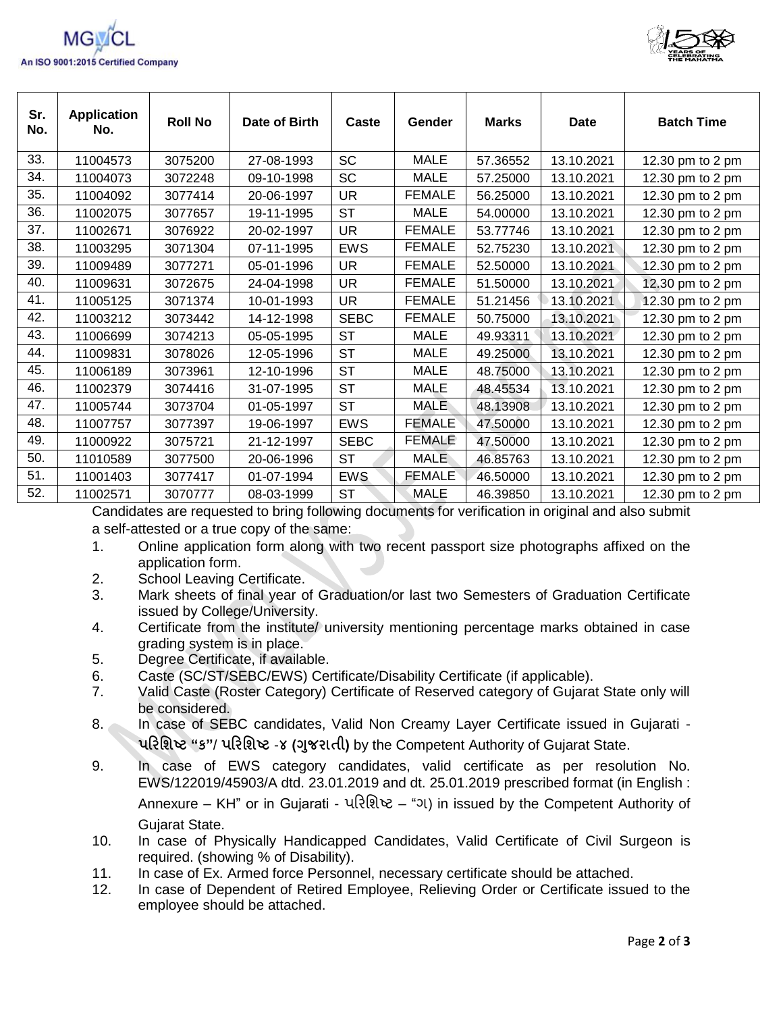



| Sr.<br>No. | <b>Application</b><br>No. | <b>Roll No</b> | Date of Birth | Caste       | Gender        | <b>Marks</b> | <b>Date</b> | <b>Batch Time</b> |
|------------|---------------------------|----------------|---------------|-------------|---------------|--------------|-------------|-------------------|
| 33.        | 11004573                  | 3075200        | 27-08-1993    | <b>SC</b>   | <b>MALE</b>   | 57.36552     | 13.10.2021  | 12.30 pm to 2 pm  |
| 34.        | 11004073                  | 3072248        | 09-10-1998    | SC          | <b>MALE</b>   | 57.25000     | 13.10.2021  | 12.30 pm to 2 pm  |
| 35.        | 11004092                  | 3077414        | 20-06-1997    | UR          | <b>FEMALE</b> | 56.25000     | 13.10.2021  | 12.30 pm to 2 pm  |
| 36.        | 11002075                  | 3077657        | 19-11-1995    | <b>ST</b>   | <b>MALE</b>   | 54.00000     | 13.10.2021  | 12.30 pm to 2 pm  |
| 37.        | 11002671                  | 3076922        | 20-02-1997    | <b>UR</b>   | <b>FEMALE</b> | 53.77746     | 13.10.2021  | 12.30 pm to 2 pm  |
| 38.        | 11003295                  | 3071304        | 07-11-1995    | <b>EWS</b>  | <b>FEMALE</b> | 52.75230     | 13.10.2021  | 12.30 pm to 2 pm  |
| 39.        | 11009489                  | 3077271        | 05-01-1996    | UR          | <b>FEMALE</b> | 52.50000     | 13.10.2021  | 12.30 pm to 2 pm  |
| 40.        | 11009631                  | 3072675        | 24-04-1998    | <b>UR</b>   | <b>FEMALE</b> | 51.50000     | 13.10.2021  | 12.30 pm to 2 pm  |
| 41.        | 11005125                  | 3071374        | 10-01-1993    | <b>UR</b>   | <b>FEMALE</b> | 51.21456     | 13.10.2021  | 12.30 pm to 2 pm  |
| 42.        | 11003212                  | 3073442        | 14-12-1998    | <b>SEBC</b> | <b>FEMALE</b> | 50.75000     | 13.10.2021  | 12.30 pm to 2 pm  |
| 43.        | 11006699                  | 3074213        | 05-05-1995    | <b>ST</b>   | <b>MALE</b>   | 49.93311     | 13.10.2021  | 12.30 pm to 2 pm  |
| 44.        | 11009831                  | 3078026        | 12-05-1996    | <b>ST</b>   | <b>MALE</b>   | 49.25000     | 13.10.2021  | 12.30 pm to 2 pm  |
| 45.        | 11006189                  | 3073961        | 12-10-1996    | <b>ST</b>   | <b>MALE</b>   | 48.75000     | 13.10.2021  | 12.30 pm to 2 pm  |
| 46.        | 11002379                  | 3074416        | 31-07-1995    | <b>ST</b>   | <b>MALE</b>   | 48.45534     | 13.10.2021  | 12.30 pm to 2 pm  |
| 47.        | 11005744                  | 3073704        | 01-05-1997    | <b>ST</b>   | <b>MALE</b>   | 48.13908     | 13.10.2021  | 12.30 pm to 2 pm  |
| 48.        | 11007757                  | 3077397        | 19-06-1997    | <b>EWS</b>  | <b>FEMALE</b> | 47.50000     | 13.10.2021  | 12.30 pm to 2 pm  |
| 49.        | 11000922                  | 3075721        | 21-12-1997    | <b>SEBC</b> | <b>FEMALE</b> | 47.50000     | 13.10.2021  | 12.30 pm to 2 pm  |
| 50.        | 11010589                  | 3077500        | 20-06-1996    | <b>ST</b>   | <b>MALE</b>   | 46.85763     | 13.10.2021  | 12.30 pm to 2 pm  |
| 51.        | 11001403                  | 3077417        | 01-07-1994    | <b>EWS</b>  | <b>FEMALE</b> | 46.50000     | 13.10.2021  | 12.30 pm to 2 pm  |
| 52.        | 11002571                  | 3070777        | 08-03-1999    | ST          | <b>MALE</b>   | 46.39850     | 13.10.2021  | 12.30 pm to 2 pm  |

Candidates are requested to bring following documents for verification in original and also submit a self-attested or a true copy of the same:

- 1. Online application form along with two recent passport size photographs affixed on the application form.
- 2. School Leaving Certificate.
- 3. Mark sheets of final year of Graduation/or last two Semesters of Graduation Certificate issued by College/University.
- 4. Certificate from the institute/ university mentioning percentage marks obtained in case grading system is in place.
- 5. Degree Certificate, if available.
- 6. Caste (SC/ST/SEBC/EWS) Certificate/Disability Certificate (if applicable).
- 7. Valid Caste (Roster Category) Certificate of Reserved category of Gujarat State only will be considered.
- 8. In case of SEBC candidates, Valid Non Creamy Layer Certificate issued in Gujarati -**પરિશિષ્ટ "ક"**/ **પરિશિષ્ટ** -**૪ (ગજુ િાતી)** by the Competent Authority of Gujarat State.
- 9. In case of EWS category candidates, valid certificate as per resolution No. EWS/122019/45903/A dtd. 23.01.2019 and dt. 25.01.2019 prescribed format (in English : Annexure – KH" or in Gujarati - પરિશિષ્ટ – "ગ) in issued by the Competent Authority of Gujarat State.
- 10. In case of Physically Handicapped Candidates, Valid Certificate of Civil Surgeon is required. (showing % of Disability).
- 11. In case of Ex. Armed force Personnel, necessary certificate should be attached.
- 12. In case of Dependent of Retired Employee, Relieving Order or Certificate issued to the employee should be attached.